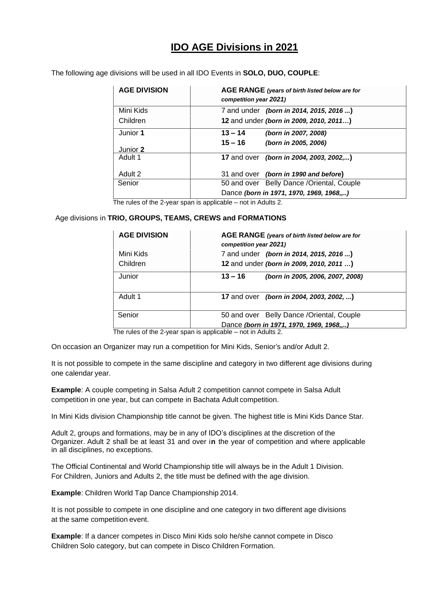## **IDO AGE Divisions in 2021**

The following age divisions will be used in all IDO Events in **SOLO, DUO, COUPLE**:

| <b>AGE DIVISION</b> | AGE RANGE (years of birth listed below are for<br>competition year 2021) |
|---------------------|--------------------------------------------------------------------------|
| Mini Kids           | 7 and under (born in 2014, 2015, 2016 )                                  |
| Children            | 12 and under (born in 2009, 2010, 2011)                                  |
| Junior 1            | $13 - 14$<br>(born in 2007, 2008)                                        |
|                     | $15 - 16$<br>(born in 2005, 2006)                                        |
| Junior 2            |                                                                          |
| Adult 1             | 17 and over <i>(born in 2004, 2003, 2002,</i> )                          |
| Adult 2             | 31 and over (born in 1990 and before)                                    |
| Senior              | 50 and over Belly Dance / Oriental, Couple                               |
|                     | Dance (born in 1971, 1970, 1969, 1968,)                                  |

The rules of the 2-year span is applicable – not in Adults 2.

## Age divisions in **TRIO, GROUPS, TEAMS, CREWS and FORMATIONS**

| <b>AGE DIVISION</b> | AGE RANGE (years of birth listed below are for<br>competition year 2021) |
|---------------------|--------------------------------------------------------------------------|
| Mini Kids           | 7 and under (born in 2014, 2015, 2016 )                                  |
| Children            | 12 and under (born in 2009, 2010, 2011 )                                 |
| Junior              | $13 - 16$<br>(born in 2005, 2006, 2007, 2008)                            |
| Adult 1             | 17 and over <i>(born in 2004, 2003, 2002, )</i>                          |
| Senior              | 50 and over Belly Dance / Oriental, Couple                               |
|                     | Dance (born in 1971, 1970, 1969, 1968,)                                  |

The rules of the 2-year span is applicable – not in Adults 2.

 On occasion an Organizer may run a competition for Mini Kids, Senior's and/or Adult 2.

It is not possible to compete in the same discipline and category in two different age divisions during one calendar year.

**Example**: A couple competing in Salsa Adult 2 competition cannot compete in Salsa Adult competition in one year, but can compete in Bachata Adult competition.

In Mini Kids division Championship title cannot be given. The highest title is Mini Kids Dance Star.

Adult 2, groups and formations, may be in any of IDO's disciplines at the discretion of the Organizer. Adult 2 shall be at least 31 and over i**n** the year of competition and where applicable in all disciplines, no exceptions.

The Official Continental and World Championship title will always be in the Adult 1 Division. For Children, Juniors and Adults 2, the title must be defined with the age division.

**Example**: Children World Tap Dance Championship 2014.

It is not possible to compete in one discipline and one category in two different age divisions at the same competition event.

**Example**: If a dancer competes in Disco Mini Kids solo he/she cannot compete in Disco Children Solo category, but can compete in Disco Children Formation.